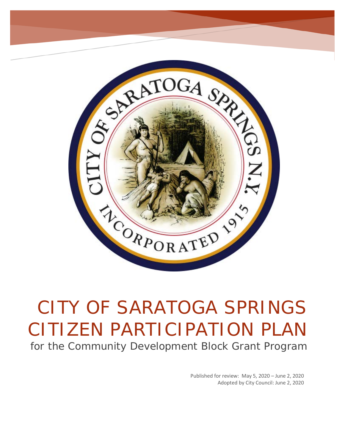

# CITY OF SARATOGA SPRINGS CITIZEN PARTICIPATION PLAN for the Community Development Block Grant Program

Published for review: May 5, 2020 – June 2, 2020 Adopted by City Council: June 2, 2020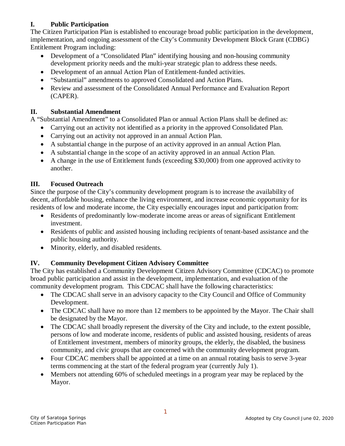# **I. Public Participation**

The Citizen Participation Plan is established to encourage broad public participation in the development, implementation, and ongoing assessment of the City's Community Development Block Grant (CDBG) Entitlement Program including:

- Development of a "Consolidated Plan" identifying housing and non-housing community development priority needs and the multi-year strategic plan to address these needs.
- Development of an annual Action Plan of Entitlement-funded activities.
- "Substantial" amendments to approved Consolidated and Action Plans.
- Review and assessment of the Consolidated Annual Performance and Evaluation Report (CAPER).

# **II. Substantial Amendment**

A "Substantial Amendment" to a Consolidated Plan or annual Action Plans shall be defined as:

- Carrying out an activity not identified as a priority in the approved Consolidated Plan.
- Carrying out an activity not approved in an annual Action Plan.
- A substantial change in the purpose of an activity approved in an annual Action Plan.
- A substantial change in the scope of an activity approved in an annual Action Plan.
- A change in the use of Entitlement funds (exceeding \$30,000) from one approved activity to another.

# **III. Focused Outreach**

Since the purpose of the City's community development program is to increase the availability of decent, affordable housing, enhance the living environment, and increase economic opportunity for its residents of low and moderate income, the City especially encourages input and participation from:

- Residents of predominantly low-moderate income areas or areas of significant Entitlement investment.
- Residents of public and assisted housing including recipients of tenant-based assistance and the public housing authority.
- Minority, elderly, and disabled residents.

# **IV. Community Development Citizen Advisory Committee**

The City has established a Community Development Citizen Advisory Committee (CDCAC) to promote broad public participation and assist in the development, implementation, and evaluation of the community development program. This CDCAC shall have the following characteristics:

- The CDCAC shall serve in an advisory capacity to the City Council and Office of Community Development.
- The CDCAC shall have no more than 12 members to be appointed by the Mayor. The Chair shall be designated by the Mayor.
- The CDCAC shall broadly represent the diversity of the City and include, to the extent possible, persons of low and moderate income, residents of public and assisted housing, residents of areas of Entitlement investment, members of minority groups, the elderly, the disabled, the business community, and civic groups that are concerned with the community development program.
- Four CDCAC members shall be appointed at a time on an annual rotating basis to serve 3-year terms commencing at the start of the federal program year (currently July 1).
- Members not attending 60% of scheduled meetings in a program year may be replaced by the Mayor.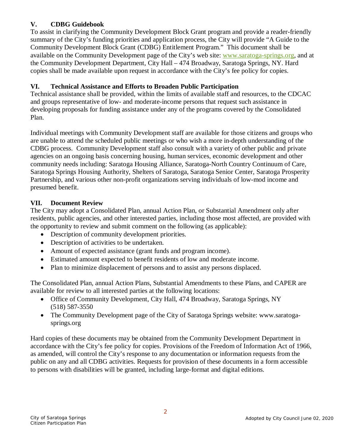## **V. CDBG Guidebook**

To assist in clarifying the Community Development Block Grant program and provide a reader-friendly summary of the City's funding priorities and application process, the City will provide "A Guide to the Community Development Block Grant (CDBG) Entitlement Program." This document shall be available on the Community Development page of the City's web site: [www.saratoga-springs.org,](http://www.saratoga-springs.org/) and at the Community Development Department, City Hall – 474 Broadway, Saratoga Springs, NY. Hard copies shall be made available upon request in accordance with the City's fee policy for copies.

## **VI. Technical Assistance and Efforts to Broaden Public Participation**

Technical assistance shall be provided, within the limits of available staff and resources, to the CDCAC and groups representative of low- and moderate-income persons that request such assistance in developing proposals for funding assistance under any of the programs covered by the Consolidated Plan.

Individual meetings with Community Development staff are available for those citizens and groups who are unable to attend the scheduled public meetings or who wish a more in-depth understanding of the CDBG process. Community Development staff also consult with a variety of other public and private agencies on an ongoing basis concerning housing, human services, economic development and other community needs including: Saratoga Housing Alliance, Saratoga-North Country Continuum of Care, Saratoga Springs Housing Authority, Shelters of Saratoga, Saratoga Senior Center, Saratoga Prosperity Partnership, and various other non-profit organizations serving individuals of low-mod income and presumed benefit.

#### **VII. Document Review**

The City may adopt a Consolidated Plan, annual Action Plan, or Substantial Amendment only after residents, public agencies, and other interested parties, including those most affected, are provided with the opportunity to review and submit comment on the following (as applicable):

- Description of community development priorities.
- Description of activities to be undertaken.
- Amount of expected assistance (grant funds and program income).
- Estimated amount expected to benefit residents of low and moderate income.
- Plan to minimize displacement of persons and to assist any persons displaced.

The Consolidated Plan, annual Action Plans, Substantial Amendments to these Plans, and CAPER are available for review to all interested parties at the following locations:

- Office of Community Development, City Hall, 474 Broadway, Saratoga Springs, NY (518) 587-3550
- The Community Development page of the City of Saratoga Springs website: www.saratogasprings.org

Hard copies of these documents may be obtained from the Community Development Department in accordance with the City's fee policy for copies. Provisions of the Freedom of Information Act of 1966, as amended, will control the City's response to any documentation or information requests from the public on any and all CDBG activities. Requests for provision of these documents in a form accessible to persons with disabilities will be granted, including large-format and digital editions.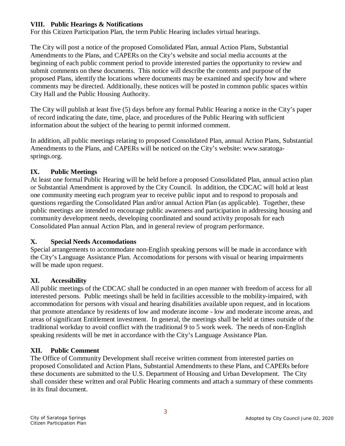#### **VIII. Public Hearings & Notifications**

For this Citizen Participation Plan, the term Public Hearing includes virtual hearings.

The City will post a notice of the proposed Consolidated Plan, annual Action Plans, Substantial Amendments to the Plans, and CAPERs on the City's website and social media accounts at the beginning of each public comment period to provide interested parties the opportunity to review and submit comments on these documents. This notice will describe the contents and purpose of the proposed Plans, identify the locations where documents may be examined and specify how and where comments may be directed. Additionally, these notices will be posted in common public spaces within City Hall and the Public Housing Authority.

The City will publish at least five (5) days before any formal Public Hearing a notice in the City's paper of record indicating the date, time, place, and procedures of the Public Hearing with sufficient information about the subject of the hearing to permit informed comment.

In addition, all public meetings relating to proposed Consolidated Plan, annual Action Plans, Substantial Amendments to the Plans, and CAPERs will be noticed on the City's website: www.saratogasprings.org.

#### **IX. Public Meetings**

At least one formal Public Hearing will be held before a proposed Consolidated Plan, annual action plan or Substantial Amendment is approved by the City Council. In addition, the CDCAC will hold at least one community meeting each program year to receive public input and to respond to proposals and questions regarding the Consolidated Plan and/or annual Action Plan (as applicable). Together, these public meetings are intended to encourage public awareness and participation in addressing housing and community development needs, developing coordinated and sound activity proposals for each Consolidated Plan annual Action Plan, and in general review of program performance.

#### **X. Special Needs Accomodations**

Special arrangements to accommodate non-English speaking persons will be made in accordance with the City's Language Assistance Plan. Accomodations for persons with visual or hearing impairments will be made upon request.

#### **XI. Accessibility**

All public meetings of the CDCAC shall be conducted in an open manner with freedom of access for all interested persons. Public meetings shall be held in facilities accessible to the mobility-impaired, with accommodation for persons with visual and hearing disabilities available upon request, and in locations that promote attendance by residents of low and moderate income - low and moderate income areas, and areas of significant Entitlement investment. In general, the meetings shall be held at times outside of the traditional workday to avoid conflict with the traditional 9 to 5 work week. The needs of non-English speaking residents will be met in accordance with the City's Language Assistance Plan.

#### **XII. Public Comment**

The Office of Community Development shall receive written comment from interested parties on proposed Consolidated and Action Plans, Substantial Amendments to these Plans, and CAPERs before these documents are submitted to the U.S. Department of Housing and Urban Development. The City shall consider these written and oral Public Hearing comments and attach a summary of these comments in its final document.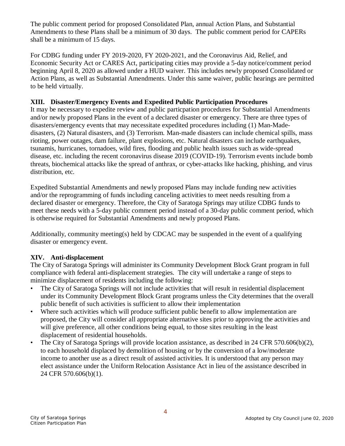The public comment period for proposed Consolidated Plan, annual Action Plans, and Substantial Amendments to these Plans shall be a minimum of 30 days. The public comment period for CAPERs shall be a minimum of 15 days.

For CDBG funding under FY 2019-2020, FY 2020-2021, and the Coronavirus Aid, Relief, and Economic Security Act or CARES Act, participating cities may provide a 5-day notice/comment period beginning April 8, 2020 as allowed under a HUD waiver. This includes newly proposed Consolidated or Action Plans, as well as Substantial Amendments. Under this same waiver, public hearings are permitted to be held virtually.

#### **XIII. Disaster/Emergency Events and Expedited Public Participation Procedures**

It may be necessary to expedite review and public particpation procedures for Substantial Amendments and/or newly proposed Plans in the event of a declared disaster or emergency. There are three types of disasters/emergency events that may necessitate expedited procedures including (1) Man-Madedisasters, (2) Natural disasters, and (3) Terrorism. Man-made disasters can include chemical spills, mass rioting, power outages, dam failure, plant explosions, etc. Natural disasters can include earthquakes, tsunamis, hurricanes, tornadoes, wild fires, flooding and public health issues such as wide-spread disease, etc. including the recent coronavirus disease 2019 (COVID-19). Terrorism events include bomb threats, biochemical attacks like the spread of anthrax, or cyber-attacks like hacking, phishing, and virus distribution, etc.

Expedited Substantial Amendments and newly proposed Plans may include funding new activities and/or the reprogramming of funds including canceling activities to meet needs resulting from a declared disaster or emergency. Therefore, the City of Saratoga Springs may utilize CDBG funds to meet these needs with a 5-day public comment period instead of a 30-day public comment period, which is otherwise required for Substantial Amendments and newly proposed Plans.

Additionally, community meeting(s) held by CDCAC may be suspended in the event of a qualifying disaster or emergency event.

# **XIV. Anti-displacement**

The City of Saratoga Springs will administer its Community Development Block Grant program in full compliance with federal anti-displacement strategies. The city will undertake a range of steps to minimize displacement of residents including the following:

- The City of Saratoga Springs will not include activities that will result in residential displacement under its Community Development Block Grant programs unless the City determines that the overall public benefit of such activities is sufficient to allow their implementation
- Where such activities which will produce sufficient public benefit to allow implementation are proposed, the City will consider all appropriate alternative sites prior to approving the activities and will give preference, all other conditions being equal, to those sites resulting in the least displacement of residential households.
- The City of Saratoga Springs will provide location assistance, as described in 24 CFR 570.606(b)(2), to each household displaced by demolition of housing or by the conversion of a low/moderate income to another use as a direct result of assisted activities. It is understood that any person may elect assistance under the Uniform Relocation Assistance Act in lieu of the assistance described in 24 CFR 570.606(b)(1).